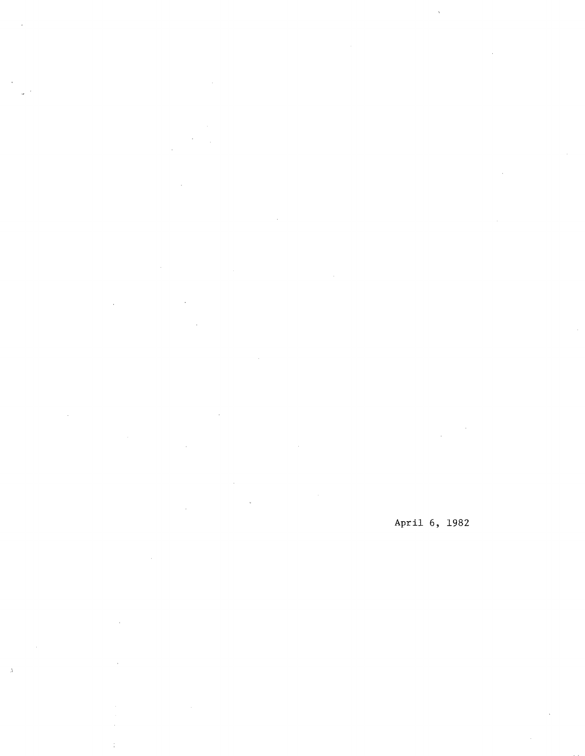$\mathcal{L}$ 

 $\mathcal{L}_{\rm{max}}$ 

 $\frac{1}{2}$ 

 $\Lambda$ 

April 6, 1982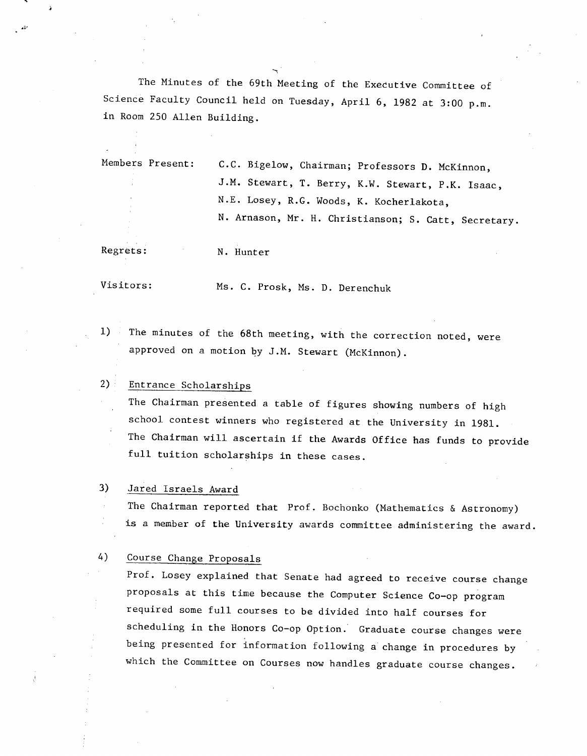The Minutes of the 69th Meeting of the Executive Committee of Science Faculty Council held on Tuesday, April 6, 1982 at 3:00 p.m. in Room 250 Allen Building.

Members Present: C.C. Bigelow, Chairman; Professors D. McKinnon, J.M. Stewart, T. Berry, K.W. Stewart, P.K. Isaac, N.E. Losey, R.G. Woods, K. Kocherlakota, N. Arnason, Mr. H. Christianson; S. Catt, Secretary.

4

Regrets: N. Hunter

Visitors: Ms. C. Prosk, Ms. D. Derenchuk

The minutes of the 68th meeting, with the correction noted, were  $1)$ approved on a motion by J.M. Stewart (McKinnon).

#### $2)$ : Entrance Scholarships

The Chairman presented a table of figures showing numbers of high school contest winners who registered at the University in 1981. The Chairman will ascertain If the Awards Office has funds to provide full tuition scholarships in these cases.

#### 3) Jared Israels Award

The Chairman reported that Prof. Bochonko (Mathematics & Astronomy) is a member of the University awards committee administering the award.

#### 4) Course Change Proposals

Prof. Losey explained that Senate had agreed to receive course change proposals at this time because the Computer Science Co-op program required some full courses to be divided into half courses for scheduling in the Honors Co-op Option. Graduate course changes were being presented for information following a change in procedures by which the Committee on Courses now handles graduate course changes.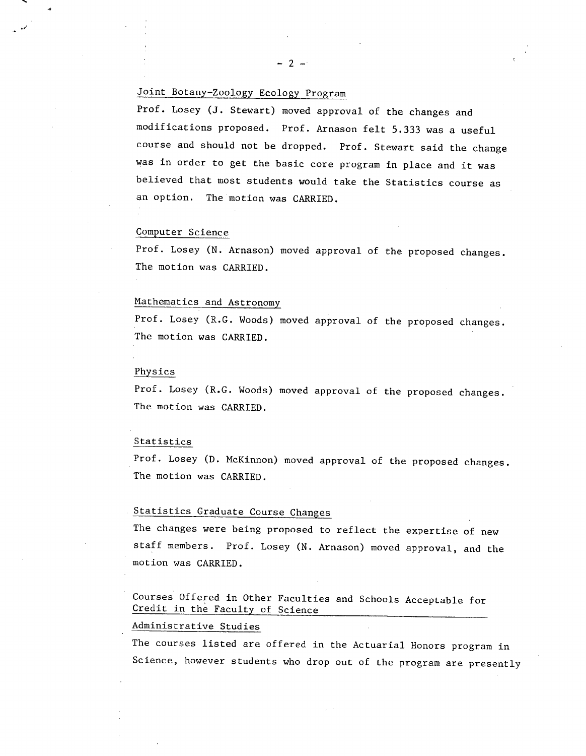### Joint Botany-Zoology Ecology Program

Prof. Losey (J. Stewart) moved approval of the changes and modifications proposed. Prof. Arnason felt 5.333 was a useful course and should not be dropped. Prof. Stewart said the change was in order to get the basic core program in place and it was believed that most students would take the Statistics course as an option. The motion was CARRIED.

#### Computer Science

 $\frac{1}{2}$ 

Prof. Losey (N. Arnason) moved approval of the proposed changes. The motion was CARRIED.

#### Mathematics and Astronomy

Prof. Losey (R.G. Woods) moved approval of the proposed changes. 'The motion was CARRIED.

#### Physics

Prof. Losey (R.G. Woods) moved approval of the proposed changes. The motion was CARRIED.

#### Statistics

Prof. Losey (D. McKinnon) moved approval of the proposed changes. The motion was CARRIED.

### Statistics Graduate Course Changes

The changes were being proposed to reflect the expertise of new staff members. Prof. Losey (N. Arnason) moved approval, and the motion was CARRIED.

Courses Offered in Other Faculties and Schools Acceptable for Credit in the Faculty of Science

#### Administrative Studies

The courses listed are offered in the Actuarial Honors program in Science, however students who drop out of the program are presently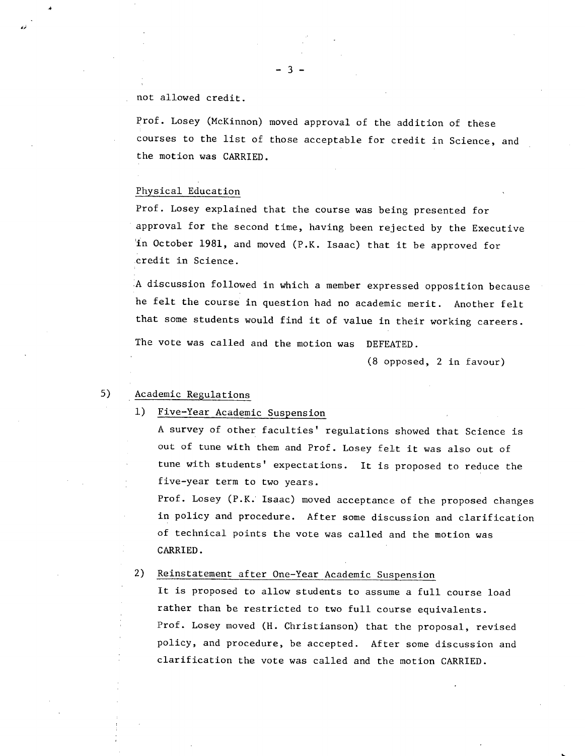#### not allowed credit.

Prof. Losey (McKinnon) moved approval of the addition of these courses to the list of those acceptable for credit in Science, and the motion was CARRIED.

#### Physical Education

Prof. Losey explained that the course was being presented for approval for the second time, having been rejected by the Executive in October 1981, and moved (P.K. Isaac) that it be approved for credit in Science.

A discussion followed in which a member expressed opposition because he felt the course in question had no academic merit. Another felt that some students would find it of value in their working careers.

The vote was called and the motion was DEFEATED.

(8 opposed, 2 in favour)

### 5) Academic Regulations

#### $1)$ Five-Year Academic Suspension

A survey of other faculties' regulations showed that Science is out of tune with them and Prof. Losey felt it was also out of tune with students' expectations. It is proposed to reduce the five-year term to two years.

Prof. Losey (P.K. Isaac) moved acceptance of the proposed changes in policy and procedure. After some discussion and clarification of technical points the vote was called and the motion was CARRIED.

#### $2)$ Reinstatement after One-Year Academic Suspension

It is proposed to allow students to assume a full course load rather than be restricted to two full course equivalents. Prof. Losey moved (H. Christianson) that the proposal, revised policy, and procedure, be accepted. After some discussion and clarification the vote was called and the motion CARRIED.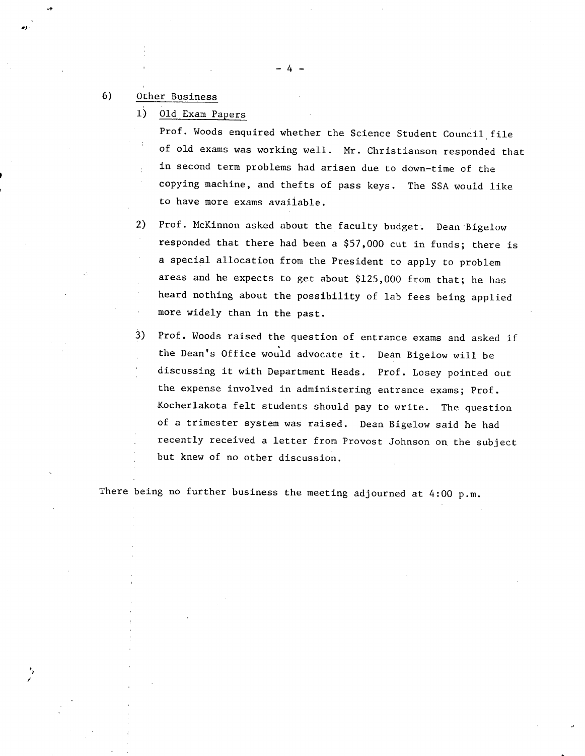### 6) Other Business

 $1)$ Old Exam Papers

> Prof. Woods enquired whether the Science Student Council file of old exams was working well. Mr. Christianson responded that in second term problems had arisen due to down-time of the copying machine, and thefts of pass keys. The SSA would like to have more exams available.

-4-.

Prof. McKinnon asked about the faculty budget. Dean Bigelow  $2)$ responded that there had been a \$57,000 cut in funds; there is a special allocation from the President to apply to problem areas and he expects to get about \$125,000 from that; he has heard nothing about the possibility of lab fees being applied more widely than in the past.

3) Prof. Woods raised the question of entrance exams and asked if the Dean's Office would advocate it. Dean Bigelow will be discussing it with Department Heads. Prof. Losey pointed out the expense involved in administering entrance exams; Prof. Kocherlakota felt students should pay to write. The question of a trimester system was raised. Dean Bigelow said he had recently received a letter from Provost Johnson on the subject but knew of no other discussion.

There being no further business the meeting adjourned at 4:00 p.m.